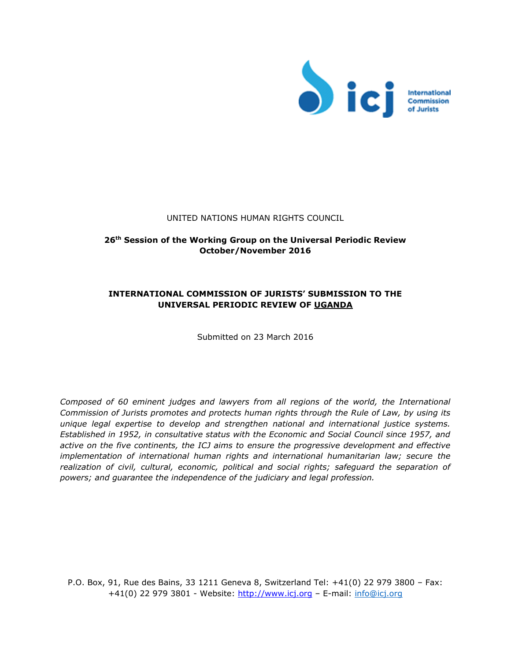

### UNITED NATIONS HUMAN RIGHTS COUNCIL

# **26 th Session of the Working Group on the Universal Periodic Review October/November 2016**

# **INTERNATIONAL COMMISSION OF JURISTS' SUBMISSION TO THE UNIVERSAL PERIODIC REVIEW OF UGANDA**

Submitted on 23 March 2016

*Composed of 60 eminent judges and lawyers from all regions of the world, the International Commission of Jurists promotes and protects human rights through the Rule of Law, by using its unique legal expertise to develop and strengthen national and international justice systems. Established in 1952, in consultative status with the Economic and Social Council since 1957, and active on the five continents, the ICJ aims to ensure the progressive development and effective implementation of international human rights and international humanitarian law; secure the realization of civil, cultural, economic, political and social rights; safeguard the separation of powers; and guarantee the independence of the judiciary and legal profession.* 

P.O. Box, 91, Rue des Bains, 33 1211 Geneva 8, Switzerland Tel: +41(0) 22 979 3800 – Fax: +41(0) 22 979 3801 - Website: [http://www.icj.org](http://www.icj.org/) - E-mail: info@icj.org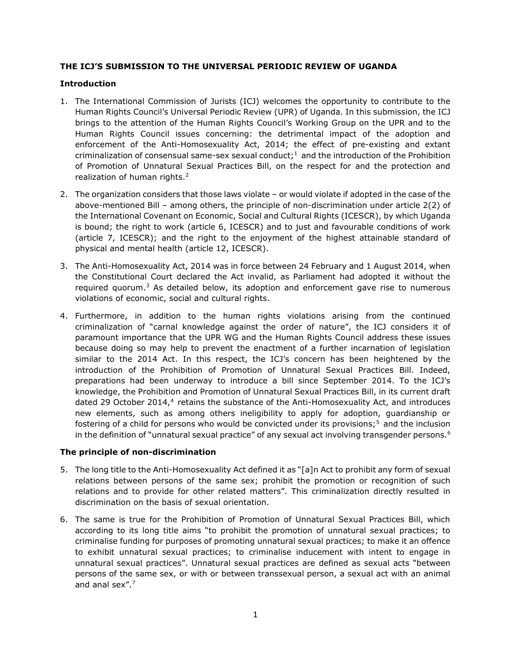# **THE ICJ'S SUBMISSION TO THE UNIVERSAL PERIODIC REVIEW OF UGANDA**

# **Introduction**

- 1. The International Commission of Jurists (ICJ) welcomes the opportunity to contribute to the Human Rights Council's Universal Periodic Review (UPR) of Uganda. In this submission, the ICJ brings to the attention of the Human Rights Council's Working Group on the UPR and to the Human Rights Council issues concerning: the detrimental impact of the adoption and enforcement of the Anti-Homosexuality Act, 2014; the effect of pre-existing and extant criminalization of consensual same-sex sexual conduct;<sup>1</sup> and the introduction of the Prohibition of Promotion of Unnatural Sexual Practices Bill, on the respect for and the protection and realization of human rights.<sup>2</sup>
- 2. The organization considers that those laws violate or would violate if adopted in the case of the above-mentioned Bill – among others, the principle of non-discrimination under article 2(2) of the International Covenant on Economic, Social and Cultural Rights (ICESCR), by which Uganda is bound; the right to work (article 6, ICESCR) and to just and favourable conditions of work (article 7, ICESCR); and the right to the enjoyment of the highest attainable standard of physical and mental health (article 12, ICESCR).
- 3. The Anti-Homosexuality Act, 2014 was in force between 24 February and 1 August 2014, when the Constitutional Court declared the Act invalid, as Parliament had adopted it without the required quorum. $3$  As detailed below, its adoption and enforcement gave rise to numerous violations of economic, social and cultural rights.
- 4. Furthermore, in addition to the human rights violations arising from the continued criminalization of "carnal knowledge against the order of nature", the ICJ considers it of paramount importance that the UPR WG and the Human Rights Council address these issues because doing so may help to prevent the enactment of a further incarnation of legislation similar to the 2014 Act. In this respect, the ICJ's concern has been heightened by the introduction of the Prohibition of Promotion of Unnatural Sexual Practices Bill. Indeed, preparations had been underway to introduce a bill since September 2014. To the ICJ's knowledge, the Prohibition and Promotion of Unnatural Sexual Practices Bill, in its current draft dated 29 October 2014, $4$  retains the substance of the Anti-Homosexuality Act, and introduces new elements, such as among others ineligibility to apply for adoption, guardianship or fostering of a child for persons who would be convicted under its provisions;<sup>5</sup> and the inclusion in the definition of "unnatural sexual practice" of any sexual act involving transgender persons.<sup>6</sup>

## **The principle of non-discrimination**

- 5. The long title to the Anti-Homosexuality Act defined it as "[a]n Act to prohibit any form of sexual relations between persons of the same sex; prohibit the promotion or recognition of such relations and to provide for other related matters". This criminalization directly resulted in discrimination on the basis of sexual orientation.
- 6. The same is true for the Prohibition of Promotion of Unnatural Sexual Practices Bill, which according to its long title aims "to prohibit the promotion of unnatural sexual practices; to criminalise funding for purposes of promoting unnatural sexual practices; to make it an offence to exhibit unnatural sexual practices; to criminalise inducement with intent to engage in unnatural sexual practices". Unnatural sexual practices are defined as sexual acts "between persons of the same sex, or with or between transsexual person, a sexual act with an animal and anal sex".7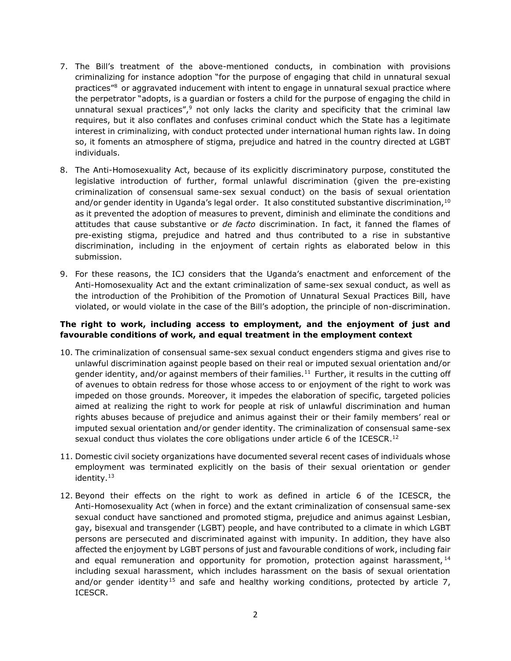- 7. The Bill's treatment of the above-mentioned conducts, in combination with provisions criminalizing for instance adoption "for the purpose of engaging that child in unnatural sexual practices<sup>"8</sup> or aggravated inducement with intent to engage in unnatural sexual practice where the perpetrator "adopts, is a guardian or fosters a child for the purpose of engaging the child in unnatural sexual practices", $9$  not only lacks the clarity and specificity that the criminal law requires, but it also conflates and confuses criminal conduct which the State has a legitimate interest in criminalizing, with conduct protected under international human rights law. In doing so, it foments an atmosphere of stigma, prejudice and hatred in the country directed at LGBT individuals.
- 8. The Anti-Homosexuality Act, because of its explicitly discriminatory purpose, constituted the legislative introduction of further, formal unlawful discrimination (given the pre-existing criminalization of consensual same-sex sexual conduct) on the basis of sexual orientation and/or gender identity in Uganda's legal order. It also constituted substantive discrimination,  $10$ as it prevented the adoption of measures to prevent, diminish and eliminate the conditions and attitudes that cause substantive or *de facto* discrimination. In fact, it fanned the flames of pre-existing stigma, prejudice and hatred and thus contributed to a rise in substantive discrimination, including in the enjoyment of certain rights as elaborated below in this submission.
- 9. For these reasons, the ICJ considers that the Uganda's enactment and enforcement of the Anti-Homosexuality Act and the extant criminalization of same-sex sexual conduct, as well as the introduction of the Prohibition of the Promotion of Unnatural Sexual Practices Bill, have violated, or would violate in the case of the Bill's adoption, the principle of non-discrimination.

# **The right to work, including access to employment, and the enjoyment of just and favourable conditions of work, and equal treatment in the employment context**

- 10. The criminalization of consensual same-sex sexual conduct engenders stigma and gives rise to unlawful discrimination against people based on their real or imputed sexual orientation and/or gender identity, and/or against members of their families.<sup>11</sup> Further, it results in the cutting off of avenues to obtain redress for those whose access to or enjoyment of the right to work was impeded on those grounds. Moreover, it impedes the elaboration of specific, targeted policies aimed at realizing the right to work for people at risk of unlawful discrimination and human rights abuses because of prejudice and animus against their or their family members' real or imputed sexual orientation and/or gender identity. The criminalization of consensual same-sex sexual conduct thus violates the core obligations under article 6 of the ICESCR.<sup>12</sup>
- 11. Domestic civil society organizations have documented several recent cases of individuals whose employment was terminated explicitly on the basis of their sexual orientation or gender identity.<sup>13</sup>
- 12. Beyond their effects on the right to work as defined in article 6 of the ICESCR, the Anti-Homosexuality Act (when in force) and the extant criminalization of consensual same-sex sexual conduct have sanctioned and promoted stigma, prejudice and animus against Lesbian, gay, bisexual and transgender (LGBT) people, and have contributed to a climate in which LGBT persons are persecuted and discriminated against with impunity. In addition, they have also affected the enjoyment by LGBT persons of just and favourable conditions of work, including fair and equal remuneration and opportunity for promotion, protection against harassment,  $14$ including sexual harassment, which includes harassment on the basis of sexual orientation and/or gender identity<sup>15</sup> and safe and healthy working conditions, protected by article  $7$ , ICESCR.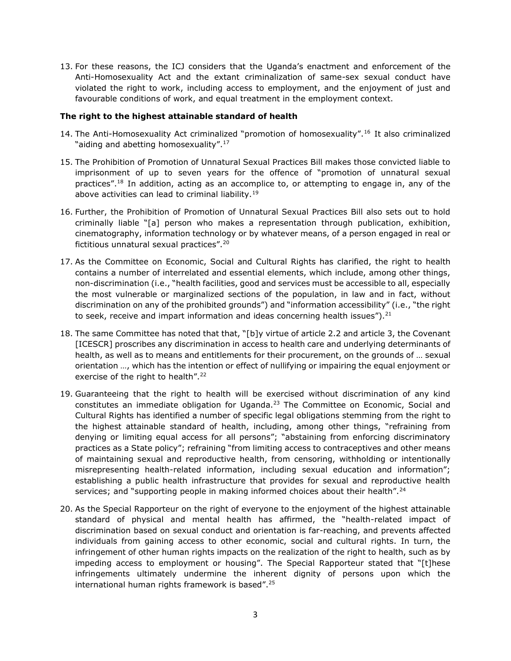13. For these reasons, the ICJ considers that the Uganda's enactment and enforcement of the Anti-Homosexuality Act and the extant criminalization of same-sex sexual conduct have violated the right to work, including access to employment, and the enjoyment of just and favourable conditions of work, and equal treatment in the employment context.

## **The right to the highest attainable standard of health**

- 14. The Anti-Homosexuality Act criminalized "promotion of homosexuality".<sup>16</sup> It also criminalized "aiding and abetting homosexuality".<sup>17</sup>
- 15. The Prohibition of Promotion of Unnatural Sexual Practices Bill makes those convicted liable to imprisonment of up to seven years for the offence of "promotion of unnatural sexual practices".<sup>18</sup> In addition, acting as an accomplice to, or attempting to engage in, any of the above activities can lead to criminal liability.<sup>19</sup>
- 16. Further, the Prohibition of Promotion of Unnatural Sexual Practices Bill also sets out to hold criminally liable "[a] person who makes a representation through publication, exhibition, cinematography, information technology or by whatever means, of a person engaged in real or fictitious unnatural sexual practices".<sup>20</sup>
- 17. As the Committee on Economic, Social and Cultural Rights has clarified, the right to health contains a number of interrelated and essential elements, which include, among other things, non-discrimination (i.e., "health facilities, good and services must be accessible to all, especially the most vulnerable or marginalized sections of the population, in law and in fact, without discrimination on any of the prohibited grounds") and "information accessibility" (i.e., "the right to seek, receive and impart information and ideas concerning health issues").<sup>21</sup>
- 18. The same Committee has noted that that, "[b]y virtue of article 2.2 and article 3, the Covenant [ICESCR] proscribes any discrimination in access to health care and underlying determinants of health, as well as to means and entitlements for their procurement, on the grounds of … sexual orientation …, which has the intention or effect of nullifying or impairing the equal enjoyment or exercise of the right to health".<sup>22</sup>
- 19. Guaranteeing that the right to health will be exercised without discrimination of any kind constitutes an immediate obligation for Uganda.<sup>23</sup> The Committee on Economic, Social and Cultural Rights has identified a number of specific legal obligations stemming from the right to the highest attainable standard of health, including, among other things, "refraining from denying or limiting equal access for all persons"; "abstaining from enforcing discriminatory practices as a State policy"; refraining "from limiting access to contraceptives and other means of maintaining sexual and reproductive health, from censoring, withholding or intentionally misrepresenting health-related information, including sexual education and information"; establishing a public health infrastructure that provides for sexual and reproductive health services; and "supporting people in making informed choices about their health".<sup>24</sup>
- 20. As the Special Rapporteur on the right of everyone to the enjoyment of the highest attainable standard of physical and mental health has affirmed, the "health-related impact of discrimination based on sexual conduct and orientation is far-reaching, and prevents affected individuals from gaining access to other economic, social and cultural rights. In turn, the infringement of other human rights impacts on the realization of the right to health, such as by impeding access to employment or housing". The Special Rapporteur stated that "[t]hese infringements ultimately undermine the inherent dignity of persons upon which the international human rights framework is based".25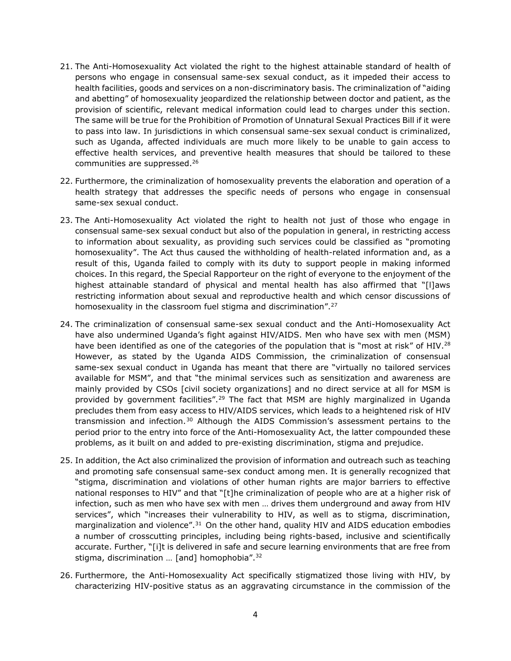- 21. The Anti-Homosexuality Act violated the right to the highest attainable standard of health of persons who engage in consensual same-sex sexual conduct, as it impeded their access to health facilities, goods and services on a non-discriminatory basis. The criminalization of "aiding and abetting" of homosexuality jeopardized the relationship between doctor and patient, as the provision of scientific, relevant medical information could lead to charges under this section. The same will be true for the Prohibition of Promotion of Unnatural Sexual Practices Bill if it were to pass into law. In jurisdictions in which consensual same-sex sexual conduct is criminalized, such as Uganda, affected individuals are much more likely to be unable to gain access to effective health services, and preventive health measures that should be tailored to these communities are suppressed.<sup>26</sup>
- 22. Furthermore, the criminalization of homosexuality prevents the elaboration and operation of a health strategy that addresses the specific needs of persons who engage in consensual same-sex sexual conduct.
- 23. The Anti-Homosexuality Act violated the right to health not just of those who engage in consensual same-sex sexual conduct but also of the population in general, in restricting access to information about sexuality, as providing such services could be classified as "promoting homosexuality". The Act thus caused the withholding of health-related information and, as a result of this, Uganda failed to comply with its duty to support people in making informed choices. In this regard, the Special Rapporteur on the right of everyone to the enjoyment of the highest attainable standard of physical and mental health has also affirmed that "[I]aws restricting information about sexual and reproductive health and which censor discussions of homosexuality in the classroom fuel stigma and discrimination".<sup>27</sup>
- 24. The criminalization of consensual same-sex sexual conduct and the Anti-Homosexuality Act have also undermined Uganda's fight against HIV/AIDS. Men who have sex with men (MSM) have been identified as one of the categories of the population that is "most at risk" of HIV.<sup>28</sup> However, as stated by the Uganda AIDS Commission, the criminalization of consensual same-sex sexual conduct in Uganda has meant that there are "virtually no tailored services available for MSM", and that "the minimal services such as sensitization and awareness are mainly provided by CSOs [civil society organizations] and no direct service at all for MSM is provided by government facilities".<sup>29</sup> The fact that MSM are highly marginalized in Uganda precludes them from easy access to HIV/AIDS services, which leads to a heightened risk of HIV transmission and infection.<sup>30</sup> Although the AIDS Commission's assessment pertains to the period prior to the entry into force of the Anti-Homosexuality Act, the latter compounded these problems, as it built on and added to pre-existing discrimination, stigma and prejudice.
- 25. In addition, the Act also criminalized the provision of information and outreach such as teaching and promoting safe consensual same-sex conduct among men. It is generally recognized that "stigma, discrimination and violations of other human rights are major barriers to effective national responses to HIV" and that "[t]he criminalization of people who are at a higher risk of infection, such as men who have sex with men … drives them underground and away from HIV services", which "increases their vulnerability to HIV, as well as to stigma, discrimination, marginalization and violence".<sup>31</sup> On the other hand, quality HIV and AIDS education embodies a number of crosscutting principles, including being rights-based, inclusive and scientifically accurate. Further, "[i]t is delivered in safe and secure learning environments that are free from stigma, discrimination ... [and] homophobia". $32$
- 26. Furthermore, the Anti-Homosexuality Act specifically stigmatized those living with HIV, by characterizing HIV-positive status as an aggravating circumstance in the commission of the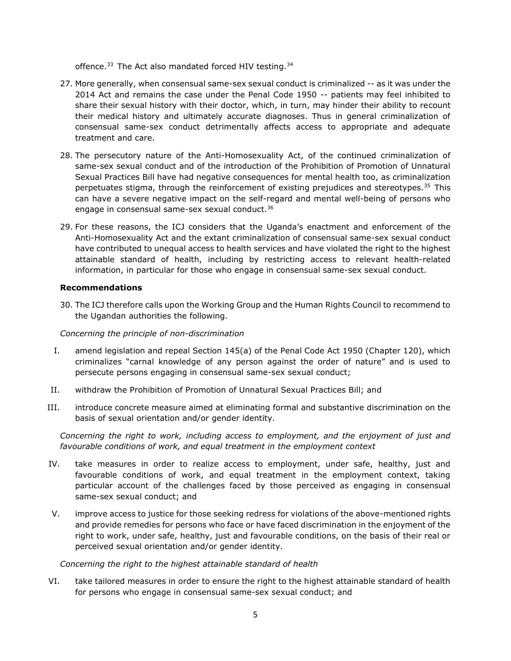offence.<sup>33</sup> The Act also mandated forced HIV testing.<sup>34</sup>

- 27. More generally, when consensual same-sex sexual conduct is criminalized -- as it was under the 2014 Act and remains the case under the Penal Code 1950 -- patients may feel inhibited to share their sexual history with their doctor, which, in turn, may hinder their ability to recount their medical history and ultimately accurate diagnoses. Thus in general criminalization of consensual same-sex conduct detrimentally affects access to appropriate and adequate treatment and care.
- 28. The persecutory nature of the Anti-Homosexuality Act, of the continued criminalization of same-sex sexual conduct and of the introduction of the Prohibition of Promotion of Unnatural Sexual Practices Bill have had negative consequences for mental health too, as criminalization perpetuates stigma, through the reinforcement of existing prejudices and stereotypes.<sup>35</sup> This can have a severe negative impact on the self-regard and mental well-being of persons who engage in consensual same-sex sexual conduct.<sup>36</sup>
- 29. For these reasons, the ICJ considers that the Uganda's enactment and enforcement of the Anti-Homosexuality Act and the extant criminalization of consensual same-sex sexual conduct have contributed to unequal access to health services and have violated the right to the highest attainable standard of health, including by restricting access to relevant health-related information, in particular for those who engage in consensual same-sex sexual conduct.

## **Recommendations**

30. The ICJ therefore calls upon the Working Group and the Human Rights Council to recommend to the Ugandan authorities the following.

*Concerning the principle of non-discrimination*

- I. amend legislation and repeal Section 145(a) of the Penal Code Act 1950 (Chapter 120), which criminalizes "carnal knowledge of any person against the order of nature" and is used to persecute persons engaging in consensual same-sex sexual conduct;
- II. withdraw the Prohibition of Promotion of Unnatural Sexual Practices Bill; and
- III. introduce concrete measure aimed at eliminating formal and substantive discrimination on the basis of sexual orientation and/or gender identity.

*Concerning the right to work, including access to employment, and the enjoyment of just and favourable conditions of work, and equal treatment in the employment context* 

- IV. take measures in order to realize access to employment, under safe, healthy, just and favourable conditions of work, and equal treatment in the employment context, taking particular account of the challenges faced by those perceived as engaging in consensual same-sex sexual conduct; and
- V. improve access to justice for those seeking redress for violations of the above-mentioned rights and provide remedies for persons who face or have faced discrimination in the enjoyment of the right to work, under safe, healthy, just and favourable conditions, on the basis of their real or perceived sexual orientation and/or gender identity.

*Concerning the right to the highest attainable standard of health*

VI. take tailored measures in order to ensure the right to the highest attainable standard of health for persons who engage in consensual same-sex sexual conduct; and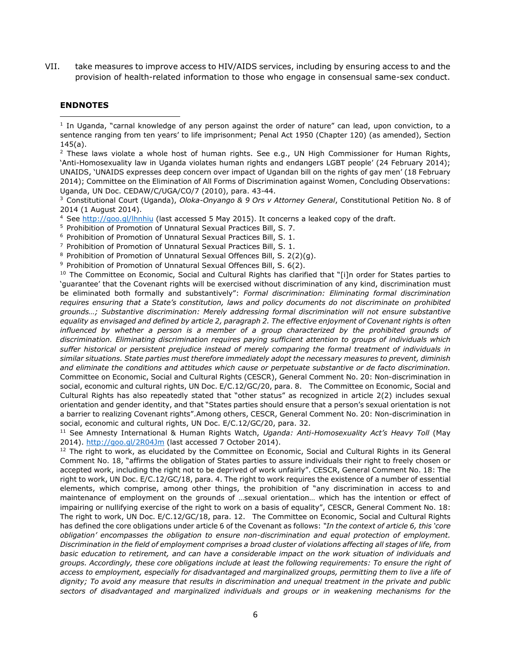VII. take measures to improve access to HIV/AIDS services, including by ensuring access to and the provision of health-related information to those who engage in consensual same-sex conduct.

#### **ENDNOTES**

l

<sup>1</sup> In Uganda, "carnal knowledge of any person against the order of nature" can lead, upon conviction, to a sentence ranging from ten years' to life imprisonment; Penal Act 1950 (Chapter 120) (as amended), Section  $145(a)$ .

<sup>2</sup> These laws violate a whole host of human rights. See e.g., UN High Commissioner for Human Rights, 'Anti-Homosexuality law in Uganda violates human rights and endangers LGBT people' (24 February 2014); UNAIDS, 'UNAIDS expresses deep concern over impact of Ugandan bill on the rights of gay men' (18 February 2014); Committee on the Elimination of All Forms of Discrimination against Women, Concluding Observations: Uganda, UN Doc. CEDAW/C/UGA/CO/7 (2010), para. 43-44.

<sup>3</sup> Constitutional Court (Uganda), *Oloka-Onyango & 9 Ors v Attorney General*, Constitutional Petition No. 8 of 2014 (1 August 2014).

<sup>4</sup> See<http://goo.gl/lhnhiu> (last accessed 5 May 2015). It concerns a leaked copy of the draft.

<sup>5</sup> Prohibition of Promotion of Unnatural Sexual Practices Bill, S. 7.

<sup>6</sup> Prohibition of Promotion of Unnatural Sexual Practices Bill, S. 1.

<sup>7</sup> Prohibition of Promotion of Unnatural Sexual Practices Bill, S. 1.

<sup>8</sup> Prohibition of Promotion of Unnatural Sexual Offences Bill, S. 2(2)(g).

<sup>9</sup> Prohibition of Promotion of Unnatural Sexual Offences Bill, S. 6(2).

<sup>10</sup> The Committee on Economic, Social and Cultural Rights has clarified that "[i]n order for States parties to 'guarantee' that the Covenant rights will be exercised without discrimination of any kind, discrimination must be eliminated both formally and substantively": *Formal discrimination: Eliminating formal discrimination requires ensuring that a State's constitution, laws and policy documents do not discriminate on prohibited grounds…; Substantive discrimination: Merely addressing formal discrimination will not ensure substantive equality as envisaged and defined by article 2, paragraph 2. The effective enjoyment of Covenant rights is often*  influenced by whether a person is a member of a group characterized by the prohibited grounds of *discrimination. Eliminating discrimination requires paying sufficient attention to groups of individuals which suffer historical or persistent prejudice instead of merely comparing the formal treatment of individuals in similar situations. State parties must therefore immediately adopt the necessary measures to prevent, diminish and eliminate the conditions and attitudes which cause or perpetuate substantive or de facto discrimination.* Committee on Economic, Social and Cultural Rights (CESCR), General Comment No. 20: Non-discrimination in social, economic and cultural rights, UN Doc. E/C.12/GC/20, para. 8. The Committee on Economic, Social and Cultural Rights has also repeatedly stated that "other status" as recognized in article 2(2) includes sexual orientation and gender identity, and that "States parties should ensure that a person's sexual orientation is not a barrier to realizing Covenant rights".Among others, CESCR, General Comment No. 20: Non-discrimination in social, economic and cultural rights, UN Doc. E/C.12/GC/20, para. 32.

<sup>11</sup> See Amnesty International & Human Rights Watch, *Uganda: Anti-Homosexuality Act's Heavy Toll* (May 2014).<http://goo.gl/2R04Jm> (last accessed 7 October 2014).

 $12$  The right to work, as elucidated by the Committee on Economic, Social and Cultural Rights in its General Comment No. 18, "affirms the obligation of States parties to assure individuals their right to freely chosen or accepted work, including the right not to be deprived of work unfairly". CESCR, General Comment No. 18: The right to work, UN Doc. E/C.12/GC/18, para. 4. The right to work requires the existence of a number of essential elements, which comprise, among other things, the prohibition of "any discrimination in access to and maintenance of employment on the grounds of …sexual orientation… which has the intention or effect of impairing or nullifying exercise of the right to work on a basis of equality", CESCR, General Comment No. 18: The right to work, UN Doc. E/C.12/GC/18, para. 12. The Committee on Economic, Social and Cultural Rights has defined the core obligations under article 6 of the Covenant as follows: *"In the context of article 6, this 'core obligation' encompasses the obligation to ensure non-discrimination and equal protection of employment. Discrimination in the field of employment comprises a broad cluster of violations affecting all stages of life, from basic education to retirement, and can have a considerable impact on the work situation of individuals and groups. Accordingly, these core obligations include at least the following requirements: To ensure the right of access to employment, especially for disadvantaged and marginalized groups, permitting them to live a life of dignity; To avoid any measure that results in discrimination and unequal treatment in the private and public sectors of disadvantaged and marginalized individuals and groups or in weakening mechanisms for the*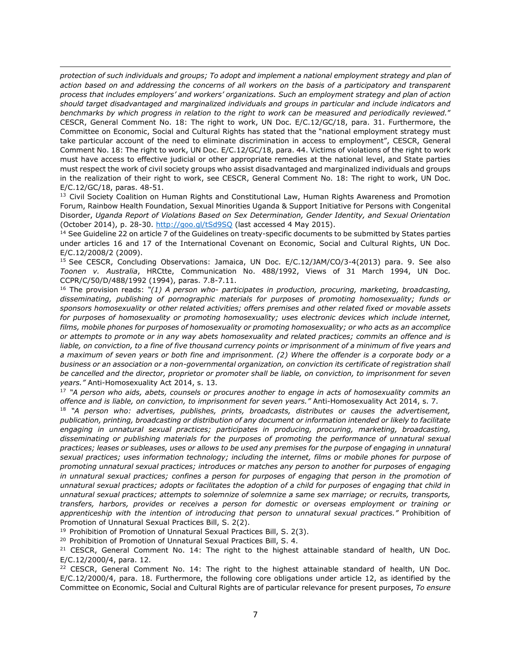$\overline{\phantom{a}}$ *protection of such individuals and groups; To adopt and implement a national employment strategy and plan of action based on and addressing the concerns of all workers on the basis of a participatory and transparent process that includes employers' and workers' organizations. Such an employment strategy and plan of action should target disadvantaged and marginalized individuals and groups in particular and include indicators and benchmarks by which progress in relation to the right to work can be measured and periodically reviewed.*" CESCR, General Comment No. 18: The right to work, UN Doc. E/C.12/GC/18, para. 31. Furthermore, the Committee on Economic, Social and Cultural Rights has stated that the "national employment strategy must take particular account of the need to eliminate discrimination in access to employment", CESCR, General Comment No. 18: The right to work, UN Doc. E/C.12/GC/18, para. 44. Victims of violations of the right to work must have access to effective judicial or other appropriate remedies at the national level, and State parties must respect the work of civil society groups who assist disadvantaged and marginalized individuals and groups in the realization of their right to work, see CESCR, General Comment No. 18: The right to work, UN Doc. E/C.12/GC/18, paras. 48-51.

<sup>13</sup> Civil Society Coalition on Human Rights and Constitutional Law, Human Rights Awareness and Promotion Forum, Rainbow Health Foundation, Sexual Minorities Uganda & Support Initiative for Persons with Congenital Disorder, *Uganda Report of Violations Based on Sex Determination, Gender Identity, and Sexual Orientation*  (October 2014), p. 28-30.<http://goo.gl/tSd9SQ> (last accessed 4 May 2015).

<sup>14</sup> See Guideline 22 on article 7 of the Guidelines on treaty-specific documents to be submitted by States parties under articles 16 and 17 of the International Covenant on Economic, Social and Cultural Rights, UN Doc. E/C.12/2008/2 (2009).

<sup>15</sup> See CESCR, Concluding Observations: Jamaica, UN Doc. E/C.12/JAM/CO/3-4(2013) para. 9. See also *Toonen v. Australia*, HRCtte, Communication No. 488/1992, Views of 31 March 1994, UN Doc. CCPR/C/50/D/488/1992 (1994), paras. 7.8-7.11.

<sup>16</sup> The provision reads: *"(1) A person who- participates in production, procuring, marketing, broadcasting, disseminating, publishing of pornographic materials for purposes of promoting homosexuality; funds or sponsors homosexuality or other related activities; offers premises and other related fixed or movable assets for purposes of homosexuality or promoting homosexuality; uses electronic devices which include internet, films, mobile phones for purposes of homosexuality or promoting homosexuality; or who acts as an accomplice or attempts to promote or in any way abets homosexuality and related practices; commits an offence and is liable, on conviction, to a fine of five thousand currency points or imprisonment of a minimum of five years and a maximum of seven years or both fine and imprisonment. (2) Where the offender is a corporate body or a business or an association or a non-governmental organization, on conviction its certificate of registration shall be cancelled and the director, proprietor or promoter shall be liable, on conviction, to imprisonment for seven years."* Anti-Homosexuality Act 2014, s. 13.

<sup>17</sup> *"A person who aids, abets, counsels or procures another to engage in acts of homosexuality commits an offence and is liable, on conviction, to imprisonment for seven years."* Anti-Homosexuality Act 2014, s. 7.

<sup>18</sup> *"A person who: advertises, publishes, prints, broadcasts, distributes or causes the advertisement, publication, printing, broadcasting or distribution of any document or information intended or likely to facilitate engaging in unnatural sexual practices; participates in producing, procuring, marketing, broadcasting, disseminating or publishing materials for the purposes of promoting the performance of unnatural sexual practices; leases or subleases, uses or allows to be used any premises for the purpose of engaging in unnatural sexual practices; uses information technology; including the internet, films or mobile phones for purpose of promoting unnatural sexual practices; introduces or matches any person to another for purposes of engaging in unnatural sexual practices; confines a person for purposes of engaging that person in the promotion of unnatural sexual practices; adopts or facilitates the adoption of a child for purposes of engaging that child in unnatural sexual practices; attempts to solemnize of solemnize a same sex marriage; or recruits, transports, transfers, harbors, provides or receives a person for domestic or overseas employment or training or apprenticeship with the intention of introducing that person to unnatural sexual practices."* Prohibition of Promotion of Unnatural Sexual Practices Bill, S. 2(2).

<sup>19</sup> Prohibition of Promotion of Unnatural Sexual Practices Bill, S. 2(3).

<sup>20</sup> Prohibition of Promotion of Unnatural Sexual Practices Bill, S. 4.

 $21$  CESCR, General Comment No. 14: The right to the highest attainable standard of health, UN Doc. E/C.12/2000/4, para. 12.

<sup>22</sup> CESCR, General Comment No. 14: The right to the highest attainable standard of health, UN Doc. E/C.12/2000/4, para. 18. Furthermore, the following core obligations under article 12, as identified by the Committee on Economic, Social and Cultural Rights are of particular relevance for present purposes, *To ensure*